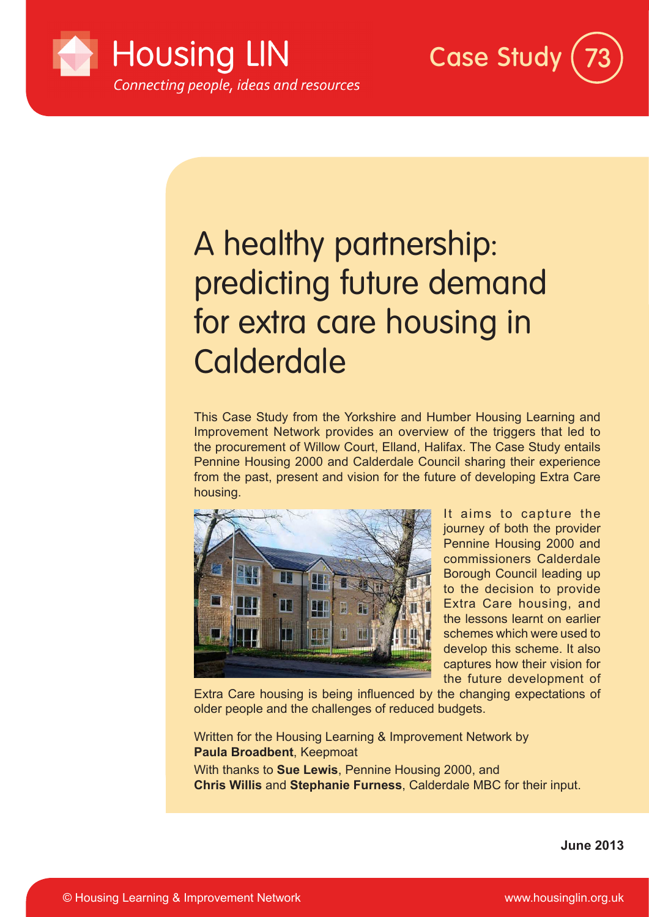



# A healthy partnership: predicting future demand for extra care housing in **Calderdale**

This Case Study from the Yorkshire and Humber Housing Learning and Improvement Network provides an overview of the triggers that led to the procurement of Willow Court, Elland, Halifax. The Case Study entails Pennine Housing 2000 and Calderdale Council sharing their experience from the past, present and vision for the future of developing Extra Care housing.



It aims to capture the journey of both the provider Pennine Housing 2000 and commissioners Calderdale Borough Council leading up to the decision to provide Extra Care housing, and the lessons learnt on earlier schemes which were used to develop this scheme. It also captures how their vision for the future development of

Extra Care housing is being influenced by the changing expectations of older people and the challenges of reduced budgets.

Written for the Housing Learning & Improvement Network by **Paula Broadbent**, Keepmoat

With thanks to **Sue Lewis**, Pennine Housing 2000, and **Chris Willis** and **Stephanie Furness**, Calderdale MBC for their input.

**June 2013**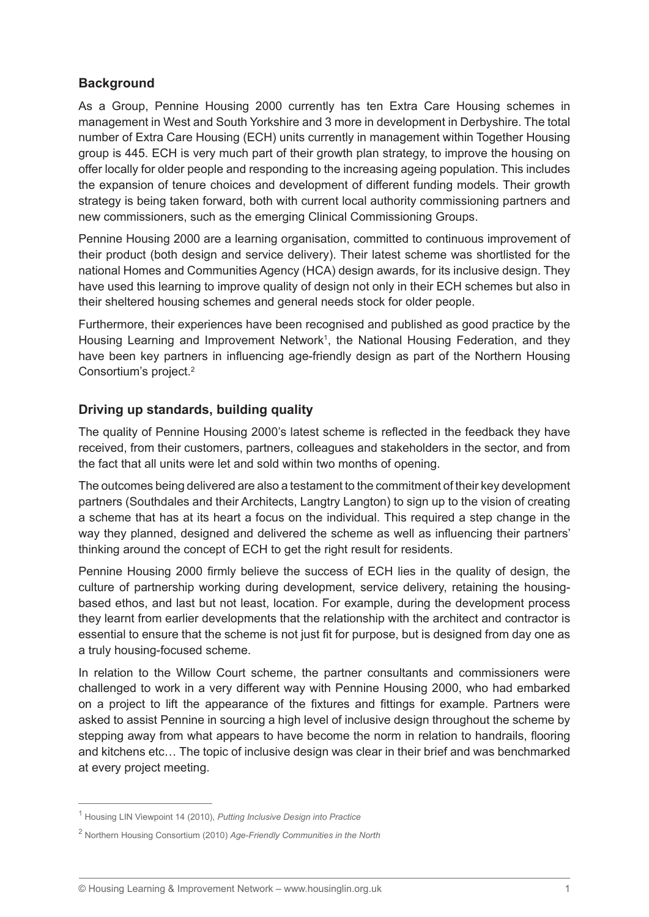# **Background**

As a Group, Pennine Housing 2000 currently has ten Extra Care Housing schemes in management in West and South Yorkshire and 3 more in development in Derbyshire. The total number of Extra Care Housing (ECH) units currently in management within Together Housing group is 445. ECH is very much part of their growth plan strategy, to improve the housing on offer locally for older people and responding to the increasing ageing population. This includes the expansion of tenure choices and development of different funding models. Their growth strategy is being taken forward, both with current local authority commissioning partners and new commissioners, such as the emerging Clinical Commissioning Groups.

Pennine Housing 2000 are a learning organisation, committed to continuous improvement of their product (both design and service delivery). Their latest scheme was shortlisted for the national Homes and Communities Agency (HCA) design awards, for its inclusive design. They have used this learning to improve quality of design not only in their ECH schemes but also in their sheltered housing schemes and general needs stock for older people.

Furthermore, their experiences have been recognised and published as good practice by the Housing Learning and Improvement Network<sup>1</sup>, the National Housing Federation, and they have been key partners in influencing age-friendly design as part of the Northern Housing Consortium's project.2

## **Driving up standards, building quality**

The quality of Pennine Housing 2000's latest scheme is reflected in the feedback they have received, from their customers, partners, colleagues and stakeholders in the sector, and from the fact that all units were let and sold within two months of opening.

The outcomes being delivered are also a testament to the commitment of their key development partners (Southdales and their Architects, Langtry Langton) to sign up to the vision of creating a scheme that has at its heart a focus on the individual. This required a step change in the way they planned, designed and delivered the scheme as well as influencing their partners' thinking around the concept of ECH to get the right result for residents.

Pennine Housing 2000 firmly believe the success of ECH lies in the quality of design, the culture of partnership working during development, service delivery, retaining the housingbased ethos, and last but not least, location. For example, during the development process they learnt from earlier developments that the relationship with the architect and contractor is essential to ensure that the scheme is not just fit for purpose, but is designed from day one as a truly housing-focused scheme.

In relation to the Willow Court scheme, the partner consultants and commissioners were challenged to work in a very different way with Pennine Housing 2000, who had embarked on a project to lift the appearance of the fixtures and fittings for example. Partners were asked to assist Pennine in sourcing a high level of inclusive design throughout the scheme by stepping away from what appears to have become the norm in relation to handrails, flooring and kitchens etc… The topic of inclusive design was clear in their brief and was benchmarked at every project meeting.

<sup>1</sup> Housing LIN Viewpoint 14 (2010), *Putting Inclusive Design into Practice*

<sup>2</sup> Northern Housing Consortium (2010) *Age-Friendly Communities in the North*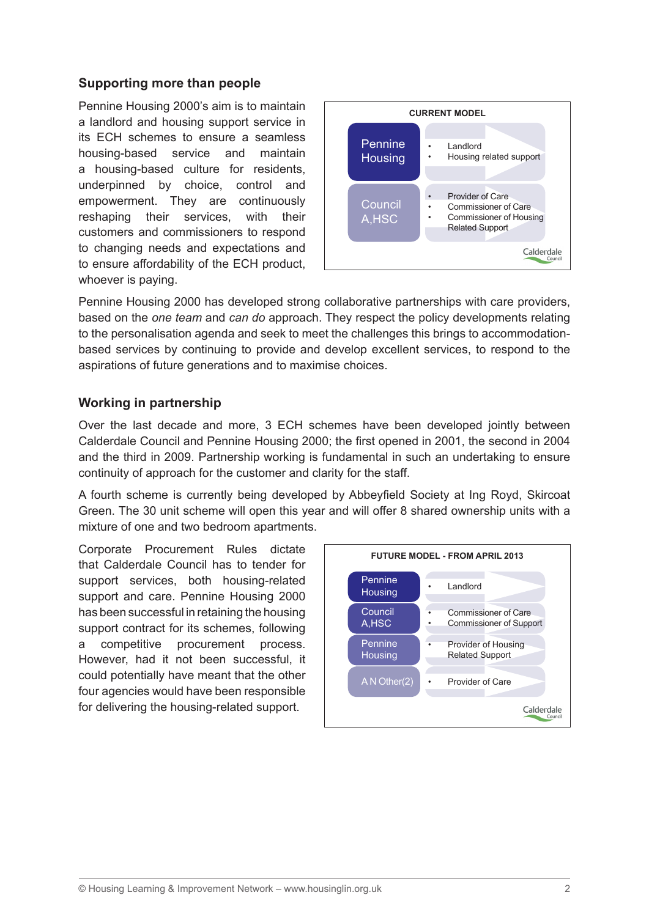## **Supporting more than people**

Pennine Housing 2000's aim is to maintain a landlord and housing support service in its ECH schemes to ensure a seamless housing-based service and maintain a housing-based culture for residents, underpinned by choice, control and empowerment. They are continuously reshaping their services, with their customers and commissioners to respond to changing needs and expectations and to ensure affordability of the ECH product, whoever is paying.



Pennine Housing 2000 has developed strong collaborative partnerships with care providers, based on the *one team* and *can do* approach. They respect the policy developments relating to the personalisation agenda and seek to meet the challenges this brings to accommodationbased services by continuing to provide and develop excellent services, to respond to the aspirations of future generations and to maximise choices.

#### **Working in partnership**

Over the last decade and more, 3 ECH schemes have been developed jointly between Calderdale Council and Pennine Housing 2000; the first opened in 2001, the second in 2004 and the third in 2009. Partnership working is fundamental in such an undertaking to ensure continuity of approach for the customer and clarity for the staff.

A fourth scheme is currently being developed by Abbeyfield Society at Ing Royd, Skircoat Green. The 30 unit scheme will open this year and will offer 8 shared ownership units with a mixture of one and two bedroom apartments.

Corporate Procurement Rules dictate that Calderdale Council has to tender for support services, both housing-related support and care. Pennine Housing 2000 has been successful in retaining the housing support contract for its schemes, following a competitive procurement process. However, had it not been successful, it could potentially have meant that the other four agencies would have been responsible for delivering the housing-related support.

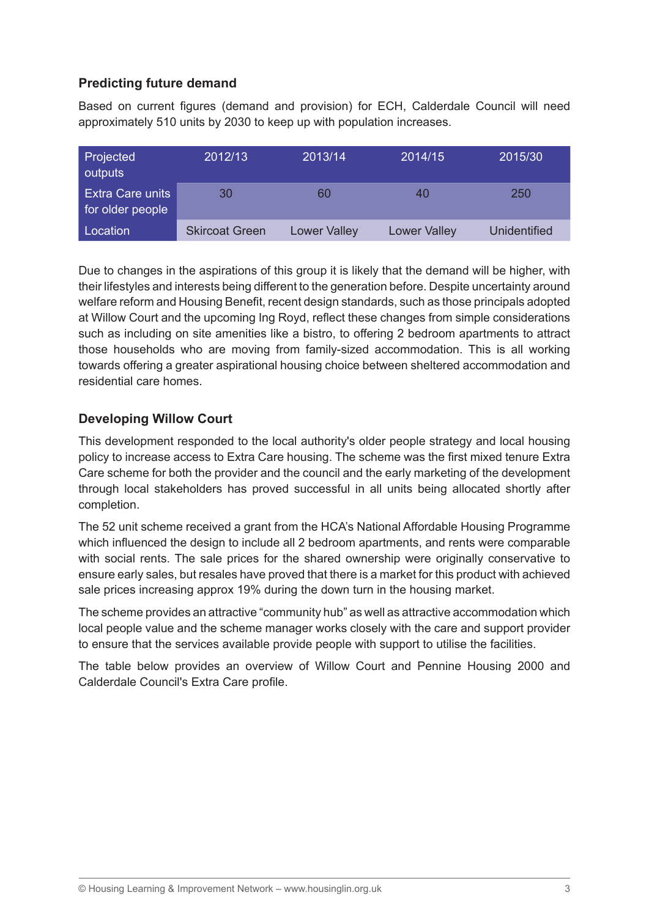# **Predicting future demand**

Based on current figures (demand and provision) for ECH, Calderdale Council will need approximately 510 units by 2030 to keep up with population increases.

| Projected<br>outputs                        | 2012/13               | 2013/14             | 2014/15             | 2015/30             |
|---------------------------------------------|-----------------------|---------------------|---------------------|---------------------|
| <b>Extra Care units</b><br>for older people | 30                    | 60                  | 40                  | 250                 |
| Location                                    | <b>Skircoat Green</b> | <b>Lower Valley</b> | <b>Lower Valley</b> | <b>Unidentified</b> |

Due to changes in the aspirations of this group it is likely that the demand will be higher, with their lifestyles and interests being different to the generation before. Despite uncertainty around welfare reform and Housing Benefit, recent design standards, such as those principals adopted at Willow Court and the upcoming Ing Royd, reflect these changes from simple considerations such as including on site amenities like a bistro, to offering 2 bedroom apartments to attract those households who are moving from family-sized accommodation. This is all working towards offering a greater aspirational housing choice between sheltered accommodation and residential care homes.

## **Developing Willow Court**

This development responded to the local authority's older people strategy and local housing policy to increase access to Extra Care housing. The scheme was the first mixed tenure Extra Care scheme for both the provider and the council and the early marketing of the development through local stakeholders has proved successful in all units being allocated shortly after completion.

The 52 unit scheme received a grant from the HCA's National Affordable Housing Programme which influenced the design to include all 2 bedroom apartments, and rents were comparable with social rents. The sale prices for the shared ownership were originally conservative to ensure early sales, but resales have proved that there is a market for this product with achieved sale prices increasing approx 19% during the down turn in the housing market.

The scheme provides an attractive "community hub" as well as attractive accommodation which local people value and the scheme manager works closely with the care and support provider to ensure that the services available provide people with support to utilise the facilities.

The table below provides an overview of Willow Court and Pennine Housing 2000 and Calderdale Council's Extra Care profile.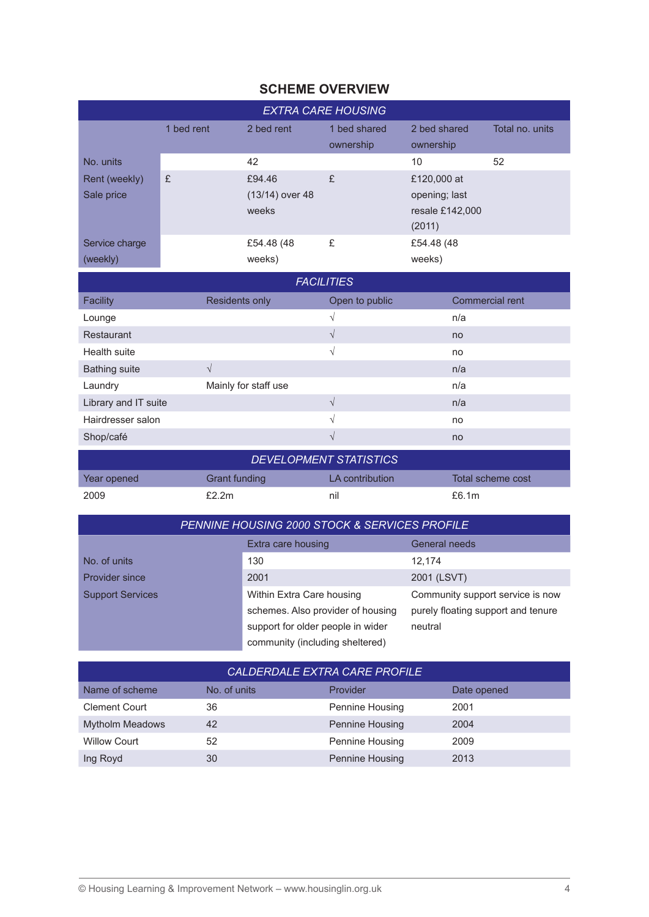# **SCHEME OVERVIEW**

| <b>EXTRA CARE HOUSING</b>   |            |                                    |                           |                                                           |                 |
|-----------------------------|------------|------------------------------------|---------------------------|-----------------------------------------------------------|-----------------|
|                             | 1 bed rent | 2 bed rent                         | 1 bed shared<br>ownership | 2 bed shared<br>ownership                                 | Total no. units |
| No. units                   |            | 42                                 |                           | 10                                                        | 52              |
| Rent (weekly)<br>Sale price | £          | £94.46<br>(13/14) over 48<br>weeks | £                         | £120,000 at<br>opening; last<br>resale £142,000<br>(2011) |                 |
| Service charge<br>(weekly)  |            | £54.48 (48)<br>weeks)              | £                         | £54.48 (48)<br>weeks)                                     |                 |

| <b>FACILITIES</b>    |                       |                |                        |  |
|----------------------|-----------------------|----------------|------------------------|--|
| <b>Facility</b>      | <b>Residents only</b> | Open to public | <b>Commercial rent</b> |  |
| Lounge               |                       | N              | n/a                    |  |
| Restaurant           |                       | V              | no                     |  |
| Health suite         |                       | V              | no                     |  |
| <b>Bathing suite</b> | $\mathcal{N}$         |                | n/a                    |  |
| Laundry              | Mainly for staff use  |                | n/a                    |  |
| Library and IT suite |                       | V              | n/a                    |  |
| Hairdresser salon    |                       | $\sqrt{ }$     | no                     |  |
| Shop/café            |                       | V              | no                     |  |
|                      |                       |                |                        |  |

| <b>DEVELOPMENT STATISTICS</b> |               |                 |                   |  |
|-------------------------------|---------------|-----------------|-------------------|--|
| Year opened                   | Grant funding | LA contribution | Total scheme cost |  |
| 2009                          | £2.2m         | nil             | £6.1 $m$          |  |

| <u>PENNINE HOUSING 2000 STOCK &amp; SERVICES PROFILE</u> |                                   |                                    |  |
|----------------------------------------------------------|-----------------------------------|------------------------------------|--|
|                                                          | Extra care housing                | General needs                      |  |
| No. of units                                             | 130                               | 12.174                             |  |
| <b>Provider since</b>                                    | 2001                              | 2001 (LSVT)                        |  |
| <b>Support Services</b>                                  | Within Extra Care housing         | Community support service is now   |  |
|                                                          | schemes. Also provider of housing | purely floating support and tenure |  |
|                                                          | support for older people in wider | neutral                            |  |
|                                                          | community (including sheltered)   |                                    |  |

| CALDERDALE EXTRA CARE PROFILE |              |                 |             |  |
|-------------------------------|--------------|-----------------|-------------|--|
| Name of scheme                | No. of units | Provider        | Date opened |  |
| <b>Clement Court</b>          | 36           | Pennine Housing | 2001        |  |
| <b>Mytholm Meadows</b>        | 42           | Pennine Housing | 2004        |  |
| <b>Willow Court</b>           | 52           | Pennine Housing | 2009        |  |
| Ing Royd                      | 30           | Pennine Housing | 2013        |  |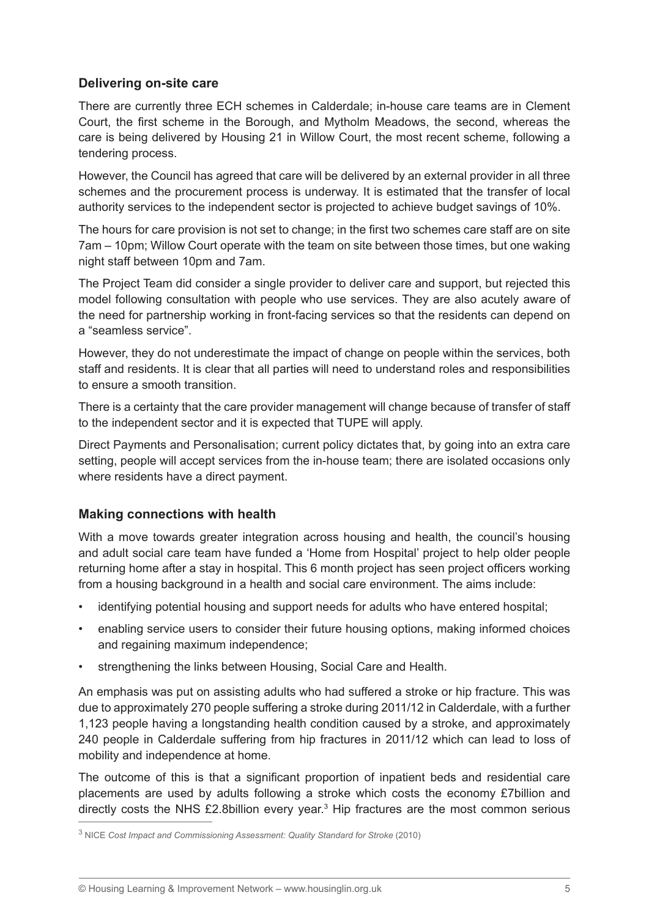#### **Delivering on-site care**

There are currently three ECH schemes in Calderdale; in-house care teams are in Clement Court, the first scheme in the Borough, and Mytholm Meadows, the second, whereas the care is being delivered by Housing 21 in Willow Court, the most recent scheme, following a tendering process.

However, the Council has agreed that care will be delivered by an external provider in all three schemes and the procurement process is underway. It is estimated that the transfer of local authority services to the independent sector is projected to achieve budget savings of 10%.

The hours for care provision is not set to change; in the first two schemes care staff are on site 7am – 10pm; Willow Court operate with the team on site between those times, but one waking night staff between 10pm and 7am.

The Project Team did consider a single provider to deliver care and support, but rejected this model following consultation with people who use services. They are also acutely aware of the need for partnership working in front-facing services so that the residents can depend on a "seamless service".

However, they do not underestimate the impact of change on people within the services, both staff and residents. It is clear that all parties will need to understand roles and responsibilities to ensure a smooth transition.

There is a certainty that the care provider management will change because of transfer of staff to the independent sector and it is expected that TUPE will apply.

Direct Payments and Personalisation; current policy dictates that, by going into an extra care setting, people will accept services from the in-house team; there are isolated occasions only where residents have a direct payment.

#### **Making connections with health**

With a move towards greater integration across housing and health, the council's housing and adult social care team have funded a 'Home from Hospital' project to help older people returning home after a stay in hospital. This 6 month project has seen project officers working from a housing background in a health and social care environment. The aims include:

- identifying potential housing and support needs for adults who have entered hospital;
- enabling service users to consider their future housing options, making informed choices and regaining maximum independence;
- strengthening the links between Housing, Social Care and Health.

An emphasis was put on assisting adults who had suffered a stroke or hip fracture. This was due to approximately 270 people suffering a stroke during 2011/12 in Calderdale, with a further 1,123 people having a longstanding health condition caused by a stroke, and approximately 240 people in Calderdale suffering from hip fractures in 2011/12 which can lead to loss of mobility and independence at home.

The outcome of this is that a significant proportion of inpatient beds and residential care placements are used by adults following a stroke which costs the economy £7billion and directly costs the NHS £2.8billion every year.<sup>3</sup> Hip fractures are the most common serious

<sup>3</sup> NICE *Cost Impact and Commissioning Assessment: Quality Standard for Stroke* (2010)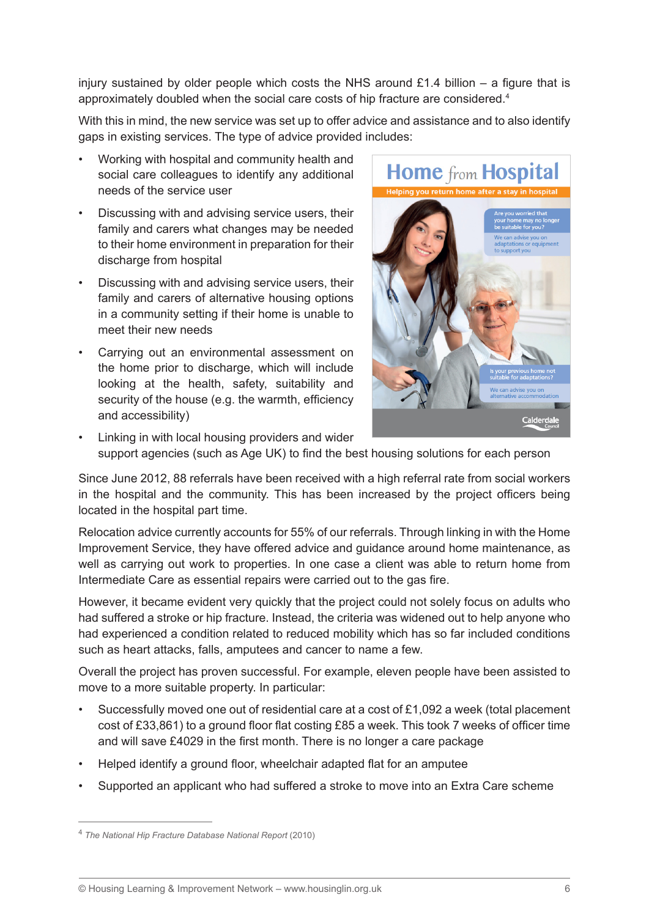injury sustained by older people which costs the NHS around £1.4 billion – a figure that is approximately doubled when the social care costs of hip fracture are considered.4

With this in mind, the new service was set up to offer advice and assistance and to also identify gaps in existing services. The type of advice provided includes:

- Working with hospital and community health and social care colleagues to identify any additional needs of the service user
- Discussing with and advising service users, their family and carers what changes may be needed to their home environment in preparation for their discharge from hospital
- Discussing with and advising service users, their family and carers of alternative housing options in a community setting if their home is unable to meet their new needs
- Carrying out an environmental assessment on the home prior to discharge, which will include looking at the health, safety, suitability and security of the house (e.g. the warmth, efficiency and accessibility)



• Linking in with local housing providers and wider support agencies (such as Age UK) to find the best housing solutions for each person

Since June 2012, 88 referrals have been received with a high referral rate from social workers in the hospital and the community. This has been increased by the project officers being located in the hospital part time.

Relocation advice currently accounts for 55% of our referrals. Through linking in with the Home Improvement Service, they have offered advice and guidance around home maintenance, as well as carrying out work to properties. In one case a client was able to return home from Intermediate Care as essential repairs were carried out to the gas fire.

However, it became evident very quickly that the project could not solely focus on adults who had suffered a stroke or hip fracture. Instead, the criteria was widened out to help anyone who had experienced a condition related to reduced mobility which has so far included conditions such as heart attacks, falls, amputees and cancer to name a few.

Overall the project has proven successful. For example, eleven people have been assisted to move to a more suitable property. In particular:

- Successfully moved one out of residential care at a cost of  $£1.092$  a week (total placement cost of £33,861) to a ground floor flat costing £85 a week. This took 7 weeks of officer time and will save £4029 in the first month. There is no longer a care package
- Helped identify a ground floor, wheelchair adapted flat for an amputee
- Supported an applicant who had suffered a stroke to move into an Extra Care scheme

<sup>4</sup> *The National Hip Fracture Database National Report* (2010)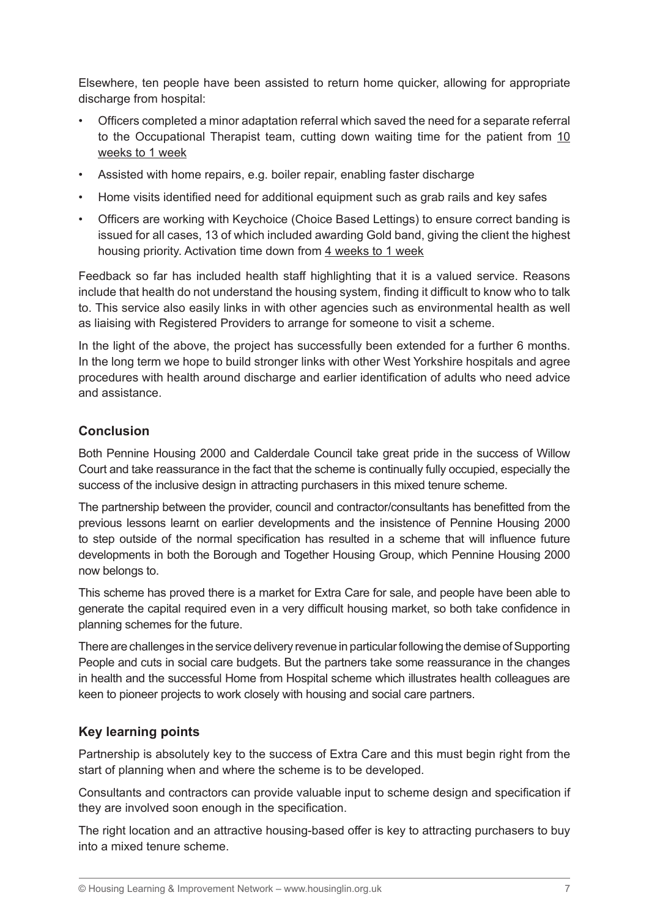Elsewhere, ten people have been assisted to return home quicker, allowing for appropriate discharge from hospital:

- Officers completed a minor adaptation referral which saved the need for a separate referral to the Occupational Therapist team, cutting down waiting time for the patient from 10 weeks to 1 week
- Assisted with home repairs, e.g. boiler repair, enabling faster discharge
- Home visits identified need for additional equipment such as grab rails and key safes
- Officers are working with Keychoice (Choice Based Lettings) to ensure correct banding is issued for all cases, 13 of which included awarding Gold band, giving the client the highest housing priority. Activation time down from 4 weeks to 1 week

Feedback so far has included health staff highlighting that it is a valued service. Reasons include that health do not understand the housing system, finding it difficult to know who to talk to. This service also easily links in with other agencies such as environmental health as well as liaising with Registered Providers to arrange for someone to visit a scheme.

In the light of the above, the project has successfully been extended for a further 6 months. In the long term we hope to build stronger links with other West Yorkshire hospitals and agree procedures with health around discharge and earlier identification of adults who need advice and assistance.

# **Conclusion**

Both Pennine Housing 2000 and Calderdale Council take great pride in the success of Willow Court and take reassurance in the fact that the scheme is continually fully occupied, especially the success of the inclusive design in attracting purchasers in this mixed tenure scheme.

The partnership between the provider, council and contractor/consultants has benefitted from the previous lessons learnt on earlier developments and the insistence of Pennine Housing 2000 to step outside of the normal specification has resulted in a scheme that will influence future developments in both the Borough and Together Housing Group, which Pennine Housing 2000 now belongs to.

This scheme has proved there is a market for Extra Care for sale, and people have been able to generate the capital required even in a very difficult housing market, so both take confidence in planning schemes for the future.

There are challenges in the service delivery revenue in particular following the demise of Supporting People and cuts in social care budgets. But the partners take some reassurance in the changes in health and the successful Home from Hospital scheme which illustrates health colleagues are keen to pioneer projects to work closely with housing and social care partners.

## **Key learning points**

Partnership is absolutely key to the success of Extra Care and this must begin right from the start of planning when and where the scheme is to be developed.

Consultants and contractors can provide valuable input to scheme design and specification if they are involved soon enough in the specification.

The right location and an attractive housing-based offer is key to attracting purchasers to buy into a mixed tenure scheme.